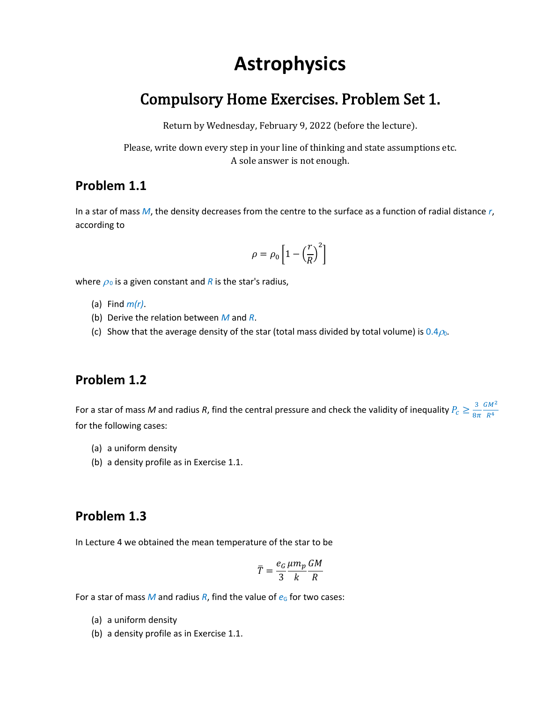# **Astrophysics**

# Compulsory Home Exercises. Problem Set 1.

Return by Wednesday, February 9, 2022 (before the lecture).

Please, write down every step in your line of thinking and state assumptions etc. A sole answer is not enough.

#### **Problem 1.1**

In a star of mass *M*, the density decreases from the centre to the surface as a function of radial distance *r*, according to

$$
\rho = \rho_0 \left[ 1 - \left( \frac{r}{R} \right)^2 \right]
$$

where  $\rho_0$  is a given constant and *R* is the star's radius,

- (a) Find *m(r)*.
- (b) Derive the relation between *M* and *R*.
- (c) Show that the average density of the star (total mass divided by total volume) is  $0.4\rho_0$ .

### **Problem 1.2**

For a star of mass M and radius R, find the central pressure and check the validity of inequality  $P_c \geq \frac{3}{8\pi}$  $8\pi$  $GM^2$  $R<sup>4</sup>$ for the following cases:

- (a) a uniform density
- (b) a density profile as in Exercise 1.1.

#### **Problem 1.3**

In Lecture 4 we obtained the mean temperature of the star to be

$$
\overline{T} = \frac{e_G}{3} \frac{\mu m_p}{k} \frac{GM}{R}
$$

For a star of mass *M* and radius *R*, find the value of  $e_G$  for two cases:

- (a) a uniform density
- (b) a density profile as in Exercise 1.1.